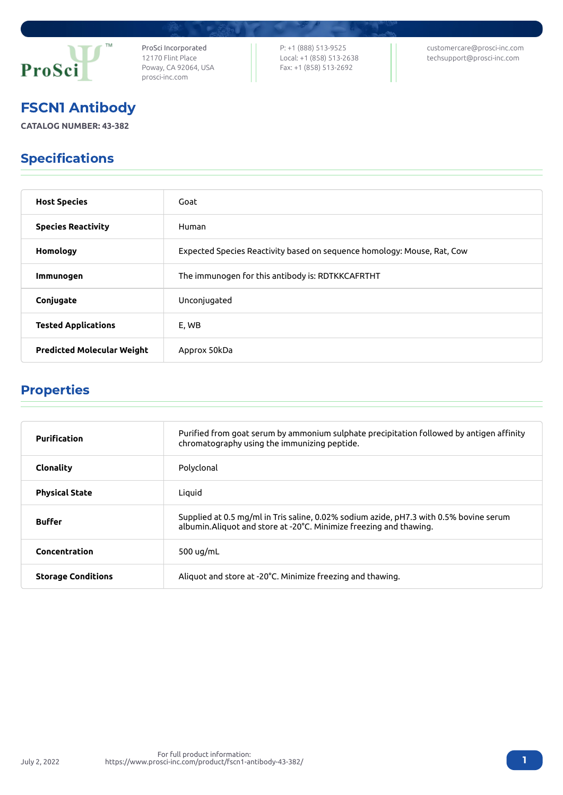

ProSci Incorporated 12170 Flint Place Poway, CA 92064, USA [prosci-inc.com](https://prosci-inc.com/)

P: +1 (888) 513-9525 Local: +1 (858) 513-2638 Fax: +1 (858) 513-2692

[customercare@prosci-inc.com](mailto:customercare@prosci-inc.com) [techsupport@prosci-inc.com](mailto:techsupport@prosci-inc.com)

# FSCN1 Antibody

**CATALOG NUMBER: 43-382**

## Specifications

| <b>Host Species</b>               | Goat                                                                    |  |
|-----------------------------------|-------------------------------------------------------------------------|--|
| <b>Species Reactivity</b>         | Human                                                                   |  |
| Homology                          | Expected Species Reactivity based on sequence homology: Mouse, Rat, Cow |  |
| Immunogen                         | The immunogen for this antibody is: RDTKKCAFRTHT                        |  |
| Conjugate                         | Unconjugated                                                            |  |
| <b>Tested Applications</b>        | E, WB                                                                   |  |
| <b>Predicted Molecular Weight</b> | Approx 50kDa                                                            |  |

## Properties

| Purification              | Purified from goat serum by ammonium sulphate precipitation followed by antigen affinity<br>chromatography using the immunizing peptide.                      |  |
|---------------------------|---------------------------------------------------------------------------------------------------------------------------------------------------------------|--|
| Clonality                 | Polyclonal                                                                                                                                                    |  |
| <b>Physical State</b>     | Liquid                                                                                                                                                        |  |
| <b>Buffer</b>             | Supplied at 0.5 mg/ml in Tris saline, 0.02% sodium azide, pH7.3 with 0.5% bovine serum<br>albumin. Aliquot and store at -20°C. Minimize freezing and thawing. |  |
| Concentration             | 500 $uq/mL$                                                                                                                                                   |  |
| <b>Storage Conditions</b> | Aliquot and store at -20°C. Minimize freezing and thawing.                                                                                                    |  |